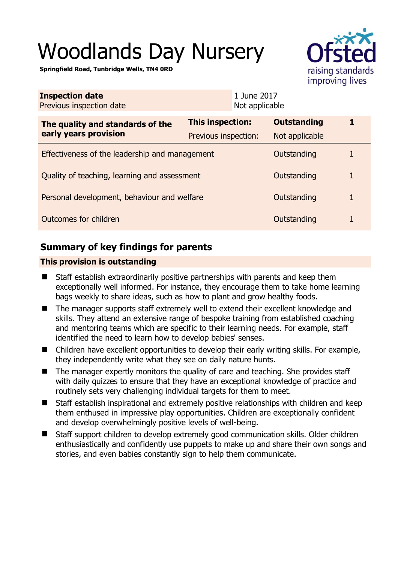# Woodlands Day Nursery



**Springfield Road, Tunbridge Wells, TN4 0RD** 

| <b>Inspection date</b><br>Previous inspection date        | 1 June 2017<br>Not applicable            |                                      |   |
|-----------------------------------------------------------|------------------------------------------|--------------------------------------|---|
| The quality and standards of the<br>early years provision | This inspection:<br>Previous inspection: | <b>Outstanding</b><br>Not applicable | 1 |
| Effectiveness of the leadership and management            |                                          | Outstanding                          |   |
| Quality of teaching, learning and assessment              |                                          | Outstanding                          | 1 |
| Personal development, behaviour and welfare               |                                          | Outstanding                          | 1 |
| Outcomes for children<br>Outstanding                      |                                          |                                      | 1 |

# **Summary of key findings for parents**

## **This provision is outstanding**

- Staff establish extraordinarily positive partnerships with parents and keep them exceptionally well informed. For instance, they encourage them to take home learning bags weekly to share ideas, such as how to plant and grow healthy foods.
- The manager supports staff extremely well to extend their excellent knowledge and skills. They attend an extensive range of bespoke training from established coaching and mentoring teams which are specific to their learning needs. For example, staff identified the need to learn how to develop babies' senses.
- Children have excellent opportunities to develop their early writing skills. For example, they independently write what they see on daily nature hunts.
- $\blacksquare$  The manager expertly monitors the quality of care and teaching. She provides staff with daily quizzes to ensure that they have an exceptional knowledge of practice and routinely sets very challenging individual targets for them to meet.
- Staff establish inspirational and extremely positive relationships with children and keep them enthused in impressive play opportunities. Children are exceptionally confident and develop overwhelmingly positive levels of well-being.
- Staff support children to develop extremely good communication skills. Older children enthusiastically and confidently use puppets to make up and share their own songs and stories, and even babies constantly sign to help them communicate.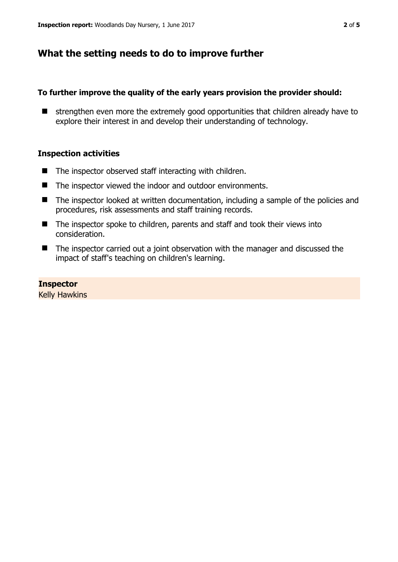## **What the setting needs to do to improve further**

#### **To further improve the quality of the early years provision the provider should:**

 $\blacksquare$  strengthen even more the extremely good opportunities that children already have to explore their interest in and develop their understanding of technology.

#### **Inspection activities**

- $\blacksquare$  The inspector observed staff interacting with children.
- The inspector viewed the indoor and outdoor environments.
- The inspector looked at written documentation, including a sample of the policies and procedures, risk assessments and staff training records.
- The inspector spoke to children, parents and staff and took their views into consideration.
- The inspector carried out a joint observation with the manager and discussed the impact of staff's teaching on children's learning.

### **Inspector**

Kelly Hawkins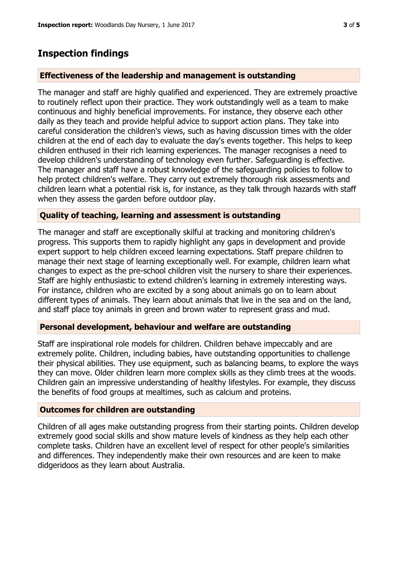# **Inspection findings**

## **Effectiveness of the leadership and management is outstanding**

The manager and staff are highly qualified and experienced. They are extremely proactive to routinely reflect upon their practice. They work outstandingly well as a team to make continuous and highly beneficial improvements. For instance, they observe each other daily as they teach and provide helpful advice to support action plans. They take into careful consideration the children's views, such as having discussion times with the older children at the end of each day to evaluate the day's events together. This helps to keep children enthused in their rich learning experiences. The manager recognises a need to develop children's understanding of technology even further. Safeguarding is effective. The manager and staff have a robust knowledge of the safeguarding policies to follow to help protect children's welfare. They carry out extremely thorough risk assessments and children learn what a potential risk is, for instance, as they talk through hazards with staff when they assess the garden before outdoor play.

### **Quality of teaching, learning and assessment is outstanding**

The manager and staff are exceptionally skilful at tracking and monitoring children's progress. This supports them to rapidly highlight any gaps in development and provide expert support to help children exceed learning expectations. Staff prepare children to manage their next stage of learning exceptionally well. For example, children learn what changes to expect as the pre-school children visit the nursery to share their experiences. Staff are highly enthusiastic to extend children's learning in extremely interesting ways. For instance, children who are excited by a song about animals go on to learn about different types of animals. They learn about animals that live in the sea and on the land, and staff place toy animals in green and brown water to represent grass and mud.

### **Personal development, behaviour and welfare are outstanding**

Staff are inspirational role models for children. Children behave impeccably and are extremely polite. Children, including babies, have outstanding opportunities to challenge their physical abilities. They use equipment, such as balancing beams, to explore the ways they can move. Older children learn more complex skills as they climb trees at the woods. Children gain an impressive understanding of healthy lifestyles. For example, they discuss the benefits of food groups at mealtimes, such as calcium and proteins.

## **Outcomes for children are outstanding**

Children of all ages make outstanding progress from their starting points. Children develop extremely good social skills and show mature levels of kindness as they help each other complete tasks. Children have an excellent level of respect for other people's similarities and differences. They independently make their own resources and are keen to make didgeridoos as they learn about Australia.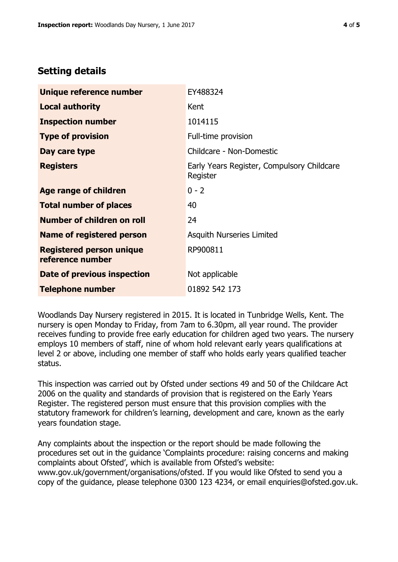# **Setting details**

| Unique reference number                             | EY488324                                               |  |
|-----------------------------------------------------|--------------------------------------------------------|--|
| <b>Local authority</b>                              | Kent                                                   |  |
| <b>Inspection number</b>                            | 1014115                                                |  |
| <b>Type of provision</b>                            | Full-time provision                                    |  |
| Day care type                                       | Childcare - Non-Domestic                               |  |
| <b>Registers</b>                                    | Early Years Register, Compulsory Childcare<br>Register |  |
| Age range of children                               | $0 - 2$                                                |  |
| <b>Total number of places</b>                       | 40                                                     |  |
| Number of children on roll                          | 24                                                     |  |
| <b>Name of registered person</b>                    | <b>Asquith Nurseries Limited</b>                       |  |
| <b>Registered person unique</b><br>reference number | RP900811                                               |  |
| Date of previous inspection                         | Not applicable                                         |  |
| <b>Telephone number</b>                             | 01892 542 173                                          |  |

Woodlands Day Nursery registered in 2015. It is located in Tunbridge Wells, Kent. The nursery is open Monday to Friday, from 7am to 6.30pm, all year round. The provider receives funding to provide free early education for children aged two years. The nursery employs 10 members of staff, nine of whom hold relevant early years qualifications at level 2 or above, including one member of staff who holds early years qualified teacher status.

This inspection was carried out by Ofsted under sections 49 and 50 of the Childcare Act 2006 on the quality and standards of provision that is registered on the Early Years Register. The registered person must ensure that this provision complies with the statutory framework for children's learning, development and care, known as the early years foundation stage.

Any complaints about the inspection or the report should be made following the procedures set out in the guidance 'Complaints procedure: raising concerns and making complaints about Ofsted', which is available from Ofsted's website: www.gov.uk/government/organisations/ofsted. If you would like Ofsted to send you a copy of the guidance, please telephone 0300 123 4234, or email enquiries@ofsted.gov.uk.